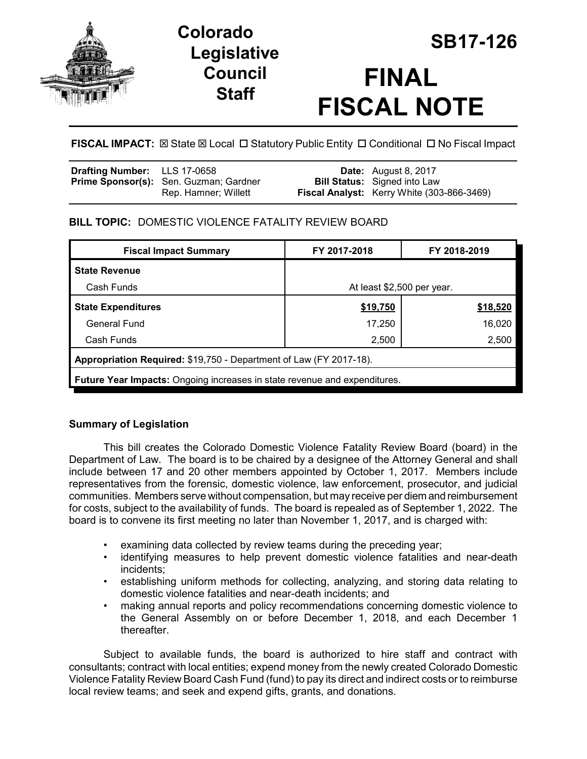

# **Legislative Council Staff**

# **SB17-126 Colorado FINAL FISCAL NOTE**

FISCAL IMPACT:  $\boxtimes$  State  $\boxtimes$  Local  $\Box$  Statutory Public Entity  $\Box$  Conditional  $\Box$  No Fiscal Impact

| <b>Drafting Number:</b> LLS 17-0658 |                                               | <b>Date:</b> August 8, 2017                |
|-------------------------------------|-----------------------------------------------|--------------------------------------------|
|                                     | <b>Prime Sponsor(s):</b> Sen. Guzman; Gardner | <b>Bill Status:</b> Signed into Law        |
|                                     | Rep. Hamner; Willett                          | Fiscal Analyst: Kerry White (303-866-3469) |

### **BILL TOPIC:** DOMESTIC VIOLENCE FATALITY REVIEW BOARD

| <b>Fiscal Impact Summary</b>                                                     | FY 2017-2018               | FY 2018-2019 |  |  |  |
|----------------------------------------------------------------------------------|----------------------------|--------------|--|--|--|
| <b>State Revenue</b>                                                             |                            |              |  |  |  |
| Cash Funds                                                                       | At least \$2,500 per year. |              |  |  |  |
| <b>State Expenditures</b>                                                        | \$19,750                   | \$18,520     |  |  |  |
| <b>General Fund</b>                                                              | 17,250                     | 16,020       |  |  |  |
| Cash Funds                                                                       | 2,500                      | 2,500        |  |  |  |
| Appropriation Required: \$19,750 - Department of Law (FY 2017-18).               |                            |              |  |  |  |
| <b>Future Year Impacts: Ongoing increases in state revenue and expenditures.</b> |                            |              |  |  |  |

## **Summary of Legislation**

This bill creates the Colorado Domestic Violence Fatality Review Board (board) in the Department of Law. The board is to be chaired by a designee of the Attorney General and shall include between 17 and 20 other members appointed by October 1, 2017. Members include representatives from the forensic, domestic violence, law enforcement, prosecutor, and judicial communities. Members serve without compensation, but may receive per diem and reimbursement for costs, subject to the availability of funds. The board is repealed as of September 1, 2022. The board is to convene its first meeting no later than November 1, 2017, and is charged with:

- examining data collected by review teams during the preceding year;
- identifying measures to help prevent domestic violence fatalities and near-death incidents;
- establishing uniform methods for collecting, analyzing, and storing data relating to domestic violence fatalities and near-death incidents; and
- making annual reports and policy recommendations concerning domestic violence to the General Assembly on or before December 1, 2018, and each December 1 thereafter.

Subject to available funds, the board is authorized to hire staff and contract with consultants; contract with local entities; expend money from the newly created Colorado Domestic Violence Fatality Review Board Cash Fund (fund) to pay its direct and indirect costs or to reimburse local review teams; and seek and expend gifts, grants, and donations.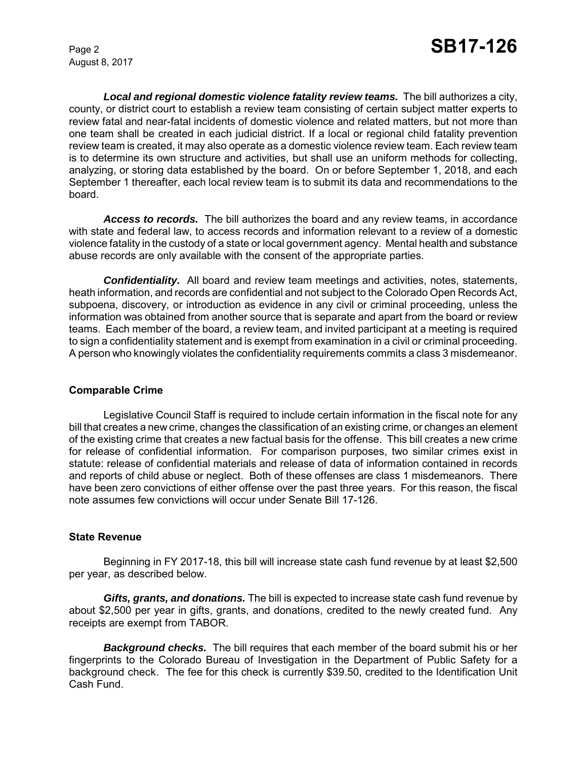August 8, 2017

*Local and regional domestic violence fatality review teams.* The bill authorizes a city, county, or district court to establish a review team consisting of certain subject matter experts to review fatal and near-fatal incidents of domestic violence and related matters, but not more than one team shall be created in each judicial district. If a local or regional child fatality prevention review team is created, it may also operate as a domestic violence review team. Each review team is to determine its own structure and activities, but shall use an uniform methods for collecting, analyzing, or storing data established by the board. On or before September 1, 2018, and each September 1 thereafter, each local review team is to submit its data and recommendations to the board.

*Access to records.* The bill authorizes the board and any review teams, in accordance with state and federal law, to access records and information relevant to a review of a domestic violence fatality in the custody of a state or local government agency. Mental health and substance abuse records are only available with the consent of the appropriate parties.

**Confidentiality.** All board and review team meetings and activities, notes, statements, heath information, and records are confidential and not subject to the Colorado Open Records Act, subpoena, discovery, or introduction as evidence in any civil or criminal proceeding, unless the information was obtained from another source that is separate and apart from the board or review teams. Each member of the board, a review team, and invited participant at a meeting is required to sign a confidentiality statement and is exempt from examination in a civil or criminal proceeding. A person who knowingly violates the confidentiality requirements commits a class 3 misdemeanor.

#### **Comparable Crime**

Legislative Council Staff is required to include certain information in the fiscal note for any bill that creates a new crime, changes the classification of an existing crime, or changes an element of the existing crime that creates a new factual basis for the offense. This bill creates a new crime for release of confidential information. For comparison purposes, two similar crimes exist in statute: release of confidential materials and release of data of information contained in records and reports of child abuse or neglect. Both of these offenses are class 1 misdemeanors. There have been zero convictions of either offense over the past three years. For this reason, the fiscal note assumes few convictions will occur under Senate Bill 17-126.

#### **State Revenue**

Beginning in FY 2017-18, this bill will increase state cash fund revenue by at least \$2,500 per year, as described below.

*Gifts, grants, and donations.* The bill is expected to increase state cash fund revenue by about \$2,500 per year in gifts, grants, and donations, credited to the newly created fund. Any receipts are exempt from TABOR.

*Background checks.* The bill requires that each member of the board submit his or her fingerprints to the Colorado Bureau of Investigation in the Department of Public Safety for a background check. The fee for this check is currently \$39.50, credited to the Identification Unit Cash Fund.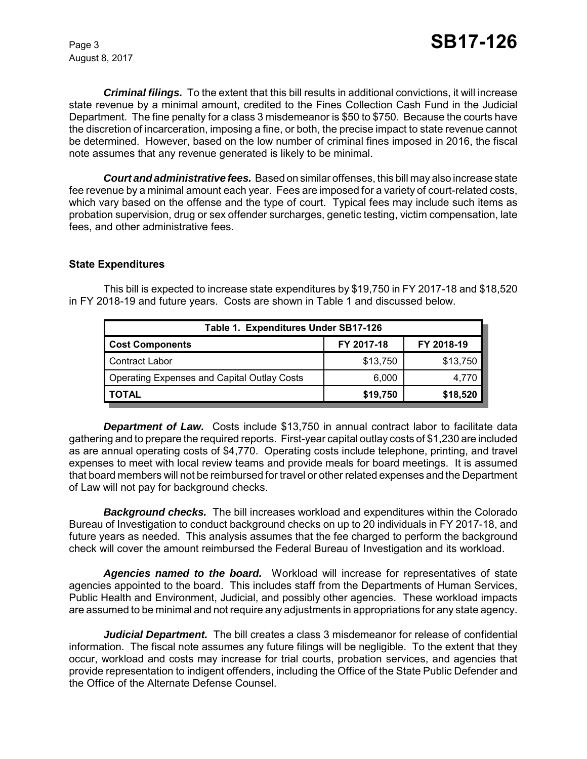*Criminal filings.* To the extent that this bill results in additional convictions, it will increase state revenue by a minimal amount, credited to the Fines Collection Cash Fund in the Judicial Department. The fine penalty for a class 3 misdemeanor is \$50 to \$750. Because the courts have the discretion of incarceration, imposing a fine, or both, the precise impact to state revenue cannot be determined. However, based on the low number of criminal fines imposed in 2016, the fiscal note assumes that any revenue generated is likely to be minimal.

*Court and administrative fees.* Based on similar offenses, this bill may also increase state fee revenue by a minimal amount each year. Fees are imposed for a variety of court-related costs, which vary based on the offense and the type of court. Typical fees may include such items as probation supervision, drug or sex offender surcharges, genetic testing, victim compensation, late fees, and other administrative fees.

#### **State Expenditures**

This bill is expected to increase state expenditures by \$19,750 in FY 2017-18 and \$18,520 in FY 2018-19 and future years. Costs are shown in Table 1 and discussed below.

| Table 1. Expenditures Under SB17-126 |            |  |  |  |  |
|--------------------------------------|------------|--|--|--|--|
| FY 2017-18                           | FY 2018-19 |  |  |  |  |
| \$13,750                             | \$13,750   |  |  |  |  |
| 6.000                                | 4,770      |  |  |  |  |
| \$19,750                             | \$18,520   |  |  |  |  |
|                                      |            |  |  |  |  |

**Department of Law.** Costs include \$13,750 in annual contract labor to facilitate data gathering and to prepare the required reports. First-year capital outlay costs of \$1,230 are included as are annual operating costs of \$4,770. Operating costs include telephone, printing, and travel expenses to meet with local review teams and provide meals for board meetings. It is assumed that board members will not be reimbursed for travel or other related expenses and the Department of Law will not pay for background checks.

*Background checks.* The bill increases workload and expenditures within the Colorado Bureau of Investigation to conduct background checks on up to 20 individuals in FY 2017-18, and future years as needed. This analysis assumes that the fee charged to perform the background check will cover the amount reimbursed the Federal Bureau of Investigation and its workload.

*Agencies named to the board.* Workload will increase for representatives of state agencies appointed to the board. This includes staff from the Departments of Human Services, Public Health and Environment, Judicial, and possibly other agencies. These workload impacts are assumed to be minimal and not require any adjustments in appropriations for any state agency.

*Judicial Department.* The bill creates a class 3 misdemeanor for release of confidential information. The fiscal note assumes any future filings will be negligible. To the extent that they occur, workload and costs may increase for trial courts, probation services, and agencies that provide representation to indigent offenders, including the Office of the State Public Defender and the Office of the Alternate Defense Counsel.